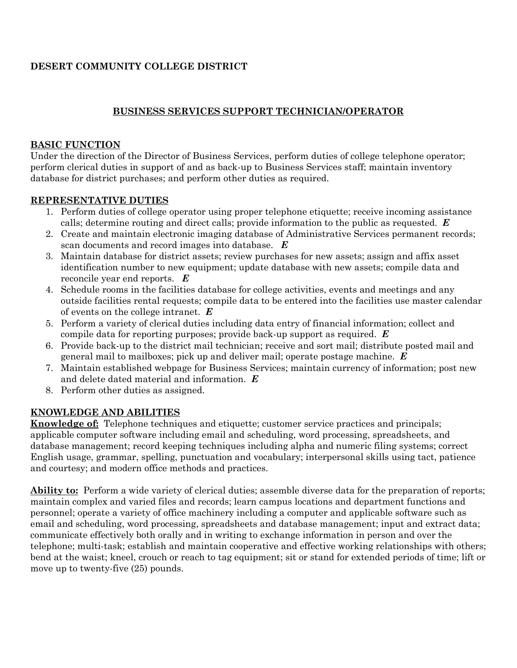# **DESERT COMMUNITY COLLEGE DISTRICT**

# **BUSINESS SERVICES SUPPORT TECHNICIAN/OPERATOR**

### **BASIC FUNCTION**

Under the direction of the Director of Business Services, perform duties of college telephone operator; perform clerical duties in support of and as back-up to Business Services staff; maintain inventory database for district purchases; and perform other duties as required.

### **REPRESENTATIVE DUTIES**

- 1. Perform duties of college operator using proper telephone etiquette; receive incoming assistance calls; determine routing and direct calls; provide information to the public as requested. *E*
- 2. Create and maintain electronic imaging database of Administrative Services permanent records; scan documents and record images into database. *E*
- 3. Maintain database for district assets; review purchases for new assets; assign and affix asset identification number to new equipment; update database with new assets; compile data and reconcile year end reports. *E*
- 4. Schedule rooms in the facilities database for college activities, events and meetings and any outside facilities rental requests; compile data to be entered into the facilities use master calendar of events on the college intranet. *E*
- 5. Perform a variety of clerical duties including data entry of financial information; collect and compile data for reporting purposes; provide back-up support as required. *E*
- 6. Provide back-up to the district mail technician; receive and sort mail; distribute posted mail and general mail to mailboxes; pick up and deliver mail; operate postage machine. *E*
- 7. Maintain established webpage for Business Services; maintain currency of information; post new and delete dated material and information. *E*
- 8. Perform other duties as assigned.

# **KNOWLEDGE AND ABILITIES**

**Knowledge of:** Telephone techniques and etiquette; customer service practices and principals; applicable computer software including email and scheduling, word processing, spreadsheets, and database management; record keeping techniques including alpha and numeric filing systems; correct English usage, grammar, spelling, punctuation and vocabulary; interpersonal skills using tact, patience and courtesy; and modern office methods and practices.

**Ability to:** Perform a wide variety of clerical duties; assemble diverse data for the preparation of reports; maintain complex and varied files and records; learn campus locations and department functions and personnel; operate a variety of office machinery including a computer and applicable software such as email and scheduling, word processing, spreadsheets and database management; input and extract data; communicate effectively both orally and in writing to exchange information in person and over the telephone; multi-task; establish and maintain cooperative and effective working relationships with others; bend at the waist; kneel, crouch or reach to tag equipment; sit or stand for extended periods of time; lift or move up to twenty-five (25) pounds.